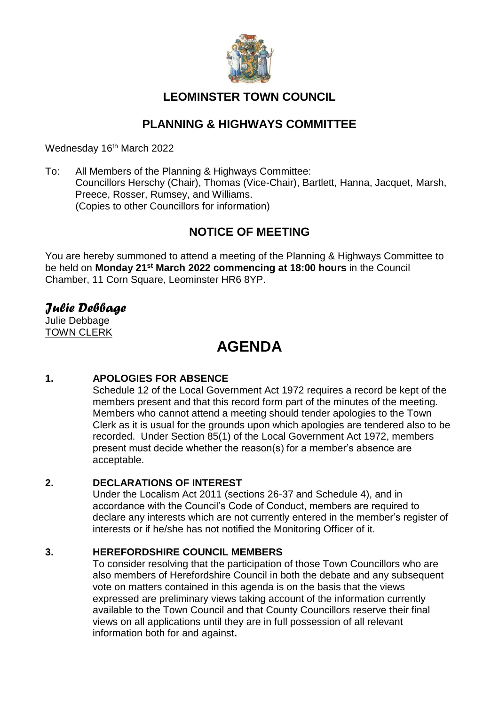

# **LEOMINSTER TOWN COUNCIL**

# **PLANNING & HIGHWAYS COMMITTEE**

Wednesday 16<sup>th</sup> March 2022

To: All Members of the Planning & Highways Committee: Councillors Herschy (Chair), Thomas (Vice-Chair), Bartlett, Hanna, Jacquet, Marsh, Preece, Rosser, Rumsey, and Williams. (Copies to other Councillors for information)

# **NOTICE OF MEETING**

You are hereby summoned to attend a meeting of the Planning & Highways Committee to be held on **Monday 21st March 2022 commencing at 18:00 hours** in the Council Chamber, 11 Corn Square, Leominster HR6 8YP.

# *Julie Debbage*

Julie Debbage TOWN CLERK

# **AGENDA**

# **1. APOLOGIES FOR ABSENCE**

Schedule 12 of the Local Government Act 1972 requires a record be kept of the members present and that this record form part of the minutes of the meeting. Members who cannot attend a meeting should tender apologies to the Town Clerk as it is usual for the grounds upon which apologies are tendered also to be recorded. Under Section 85(1) of the Local Government Act 1972, members present must decide whether the reason(s) for a member's absence are acceptable.

# **2. DECLARATIONS OF INTEREST**

Under the Localism Act 2011 (sections 26-37 and Schedule 4), and in accordance with the Council's Code of Conduct, members are required to declare any interests which are not currently entered in the member's register of interests or if he/she has not notified the Monitoring Officer of it.

# **3. HEREFORDSHIRE COUNCIL MEMBERS**

To consider resolving that the participation of those Town Councillors who are also members of Herefordshire Council in both the debate and any subsequent vote on matters contained in this agenda is on the basis that the views expressed are preliminary views taking account of the information currently available to the Town Council and that County Councillors reserve their final views on all applications until they are in full possession of all relevant information both for and against**.**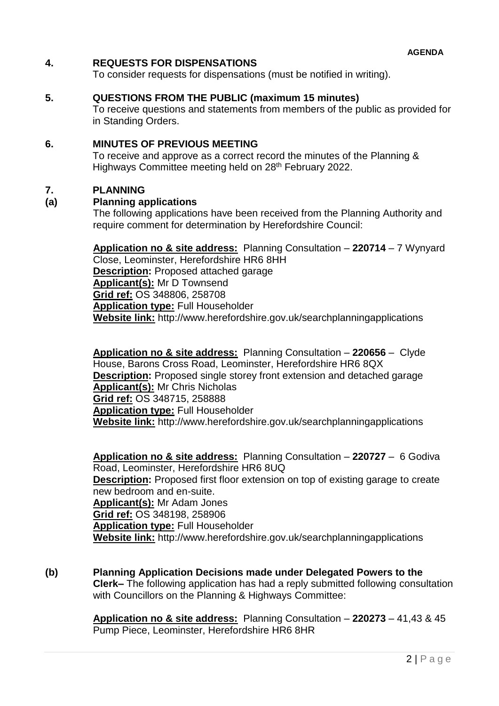## **4. REQUESTS FOR DISPENSATIONS**

To consider requests for dispensations (must be notified in writing).

#### **5. QUESTIONS FROM THE PUBLIC (maximum 15 minutes)**

To receive questions and statements from members of the public as provided for in Standing Orders.

# **6. MINUTES OF PREVIOUS MEETING**

To receive and approve as a correct record the minutes of the Planning & Highways Committee meeting held on 28<sup>th</sup> February 2022.

#### **7. PLANNING**

#### **(a) Planning applications**

The following applications have been received from the Planning Authority and require comment for determination by Herefordshire Council:

**Application no & site address:** Planning Consultation – **220714** – 7 Wynyard Close, Leominster, Herefordshire HR6 8HH **Description:** Proposed attached garage **Applicant(s):** Mr D Townsend **Grid ref:** OS 348806, 258708 **Application type:** Full Householder **Website link:** http://www.herefordshire.gov.uk/searchplanningapplications

**Application no & site address:** Planning Consultation – **220656** – Clyde House, Barons Cross Road, Leominster, Herefordshire HR6 8QX **Description:** Proposed single storey front extension and detached garage **Applicant(s):** Mr Chris Nicholas **Grid ref:** OS 348715, 258888 **Application type:** Full Householder **Website link:** http://www.herefordshire.gov.uk/searchplanningapplications

**Application no & site address:** Planning Consultation – **220727** – 6 Godiva Road, Leominster, Herefordshire HR6 8UQ **Description:** Proposed first floor extension on top of existing garage to create new bedroom and en-suite. **Applicant(s):** Mr Adam Jones **Grid ref:** OS 348198, 258906 **Application type:** Full Householder **Website link:** http://www.herefordshire.gov.uk/searchplanningapplications

**(b) Planning Application Decisions made under Delegated Powers to the Clerk–** The following application has had a reply submitted following consultation with Councillors on the Planning & Highways Committee:

> **Application no & site address:** Planning Consultation – **220273** – 41,43 & 45 Pump Piece, Leominster, Herefordshire HR6 8HR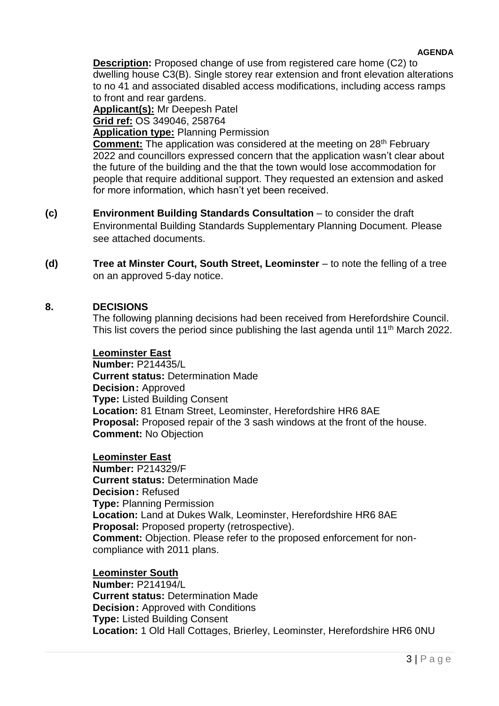#### **AGENDA**

**Description:** Proposed change of use from registered care home (C2) to dwelling house C3(B). Single storey rear extension and front elevation alterations to no 41 and associated disabled access modifications, including access ramps to front and rear gardens.

**Applicant(s):** Mr Deepesh Patel **Grid ref:** OS 349046, 258764

**Application type:** Planning Permission

**Comment:** The application was considered at the meeting on 28<sup>th</sup> February 2022 and councillors expressed concern that the application wasn't clear about the future of the building and the that the town would lose accommodation for people that require additional support. They requested an extension and asked for more information, which hasn't yet been received.

- **(c) Environment Building Standards Consultation**  to consider the draft Environmental Building Standards Supplementary Planning Document. Please see attached documents.
- **(d) Tree at Minster Court, South Street, Leominster** to note the felling of a tree on an approved 5-day notice.

## **8. DECISIONS**

The following planning decisions had been received from Herefordshire Council. This list covers the period since publishing the last agenda until 11<sup>th</sup> March 2022.

#### **Leominster East**

**Number:** P214435/L **Current status:** Determination Made **Decision:** Approved **Type:** Listed Building Consent **Location:** 81 Etnam Street, Leominster, Herefordshire HR6 8AE **Proposal:** Proposed repair of the 3 sash windows at the front of the house. **Comment:** No Objection

**Leominster East Number:** P214329/F **Current status:** Determination Made **Decision:** Refused **Type:** Planning Permission **Location:** Land at Dukes Walk, Leominster, Herefordshire HR6 8AE **Proposal:** Proposed property (retrospective). **Comment:** Objection. Please refer to the proposed enforcement for noncompliance with 2011 plans.

**Leominster South Number:** P214194/L **Current status:** Determination Made **Decision: Approved with Conditions Type:** Listed Building Consent **Location:** 1 Old Hall Cottages, Brierley, Leominster, Herefordshire HR6 0NU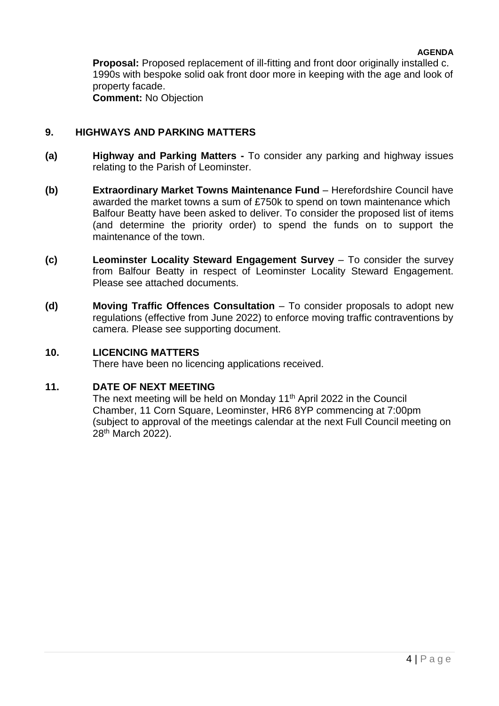**Proposal:** Proposed replacement of ill-fitting and front door originally installed c. 1990s with bespoke solid oak front door more in keeping with the age and look of property facade. **Comment:** No Objection

# **9. HIGHWAYS AND PARKING MATTERS**

- **(a) Highway and Parking Matters -** To consider any parking and highway issues relating to the Parish of Leominster.
- **(b) Extraordinary Market Towns Maintenance Fund** Herefordshire Council have awarded the market towns a sum of £750k to spend on town maintenance which Balfour Beatty have been asked to deliver. To consider the proposed list of items (and determine the priority order) to spend the funds on to support the maintenance of the town.
- **(c) Leominster Locality Steward Engagement Survey**  To consider the survey from Balfour Beatty in respect of Leominster Locality Steward Engagement. Please see attached documents.
- **(d) Moving Traffic Offences Consultation** To consider proposals to adopt new regulations (effective from June 2022) to enforce moving traffic contraventions by camera. Please see supporting document.

## **10. LICENCING MATTERS**

There have been no licencing applications received.

## **11. DATE OF NEXT MEETING**

The next meeting will be held on Monday 11<sup>th</sup> April 2022 in the Council Chamber, 11 Corn Square, Leominster, HR6 8YP commencing at 7:00pm (subject to approval of the meetings calendar at the next Full Council meeting on 28th March 2022).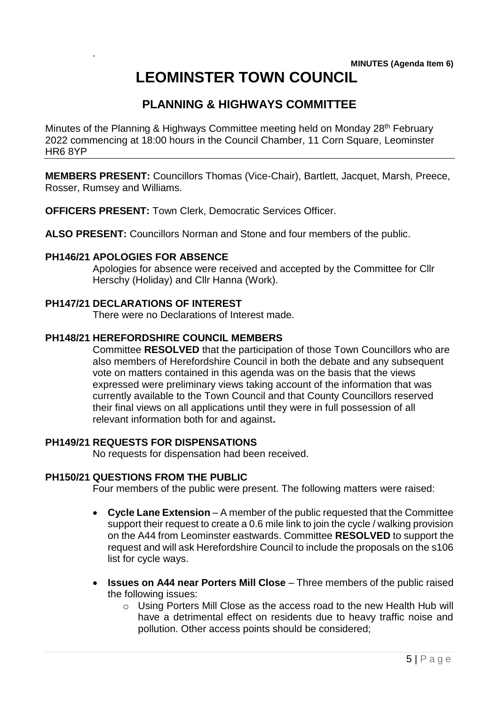# **LEOMINSTER TOWN COUNCIL**

# **PLANNING & HIGHWAYS COMMITTEE**

Minutes of the Planning & Highways Committee meeting held on Monday 28<sup>th</sup> February 2022 commencing at 18:00 hours in the Council Chamber, 11 Corn Square, Leominster HR6 8YP

**MEMBERS PRESENT:** Councillors Thomas (Vice-Chair), Bartlett, Jacquet, Marsh, Preece, Rosser, Rumsey and Williams.

**OFFICERS PRESENT:** Town Clerk, Democratic Services Officer.

**ALSO PRESENT:** Councillors Norman and Stone and four members of the public.

#### **PH146/21 APOLOGIES FOR ABSENCE**

.

Apologies for absence were received and accepted by the Committee for Cllr Herschy (Holiday) and Cllr Hanna (Work).

# **PH147/21 DECLARATIONS OF INTEREST**

There were no Declarations of Interest made.

# **PH148/21 HEREFORDSHIRE COUNCIL MEMBERS**

Committee **RESOLVED** that the participation of those Town Councillors who are also members of Herefordshire Council in both the debate and any subsequent vote on matters contained in this agenda was on the basis that the views expressed were preliminary views taking account of the information that was currently available to the Town Council and that County Councillors reserved their final views on all applications until they were in full possession of all relevant information both for and against**.**

#### **PH149/21 REQUESTS FOR DISPENSATIONS**

No requests for dispensation had been received.

## **PH150/21 QUESTIONS FROM THE PUBLIC**

Four members of the public were present. The following matters were raised:

- **Cycle Lane Extension**  A member of the public requested that the Committee support their request to create a 0.6 mile link to join the cycle / walking provision on the A44 from Leominster eastwards. Committee **RESOLVED** to support the request and will ask Herefordshire Council to include the proposals on the s106 list for cycle ways.
- **Issues on A44 near Porters Mill Close**  Three members of the public raised the following issues:
	- o Using Porters Mill Close as the access road to the new Health Hub will have a detrimental effect on residents due to heavy traffic noise and pollution. Other access points should be considered;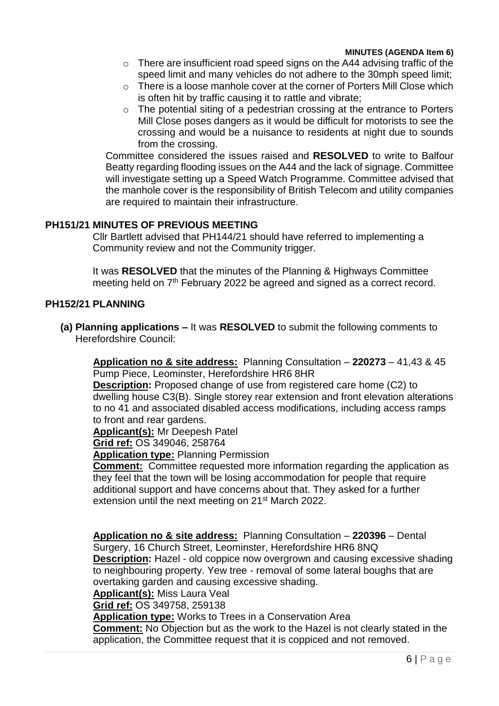- o There are insufficient road speed signs on the A44 advising traffic of the speed limit and many vehicles do not adhere to the 30mph speed limit;
- o There is a loose manhole cover at the corner of Porters Mill Close which is often hit by traffic causing it to rattle and vibrate;
- o The potential siting of a pedestrian crossing at the entrance to Porters Mill Close poses dangers as it would be difficult for motorists to see the crossing and would be a nuisance to residents at night due to sounds from the crossing.

Committee considered the issues raised and **RESOLVED** to write to Balfour Beatty regarding flooding issues on the A44 and the lack of signage. Committee will investigate setting up a Speed Watch Programme. Committee advised that the manhole cover is the responsibility of British Telecom and utility companies are required to maintain their infrastructure.

#### **PH151/21 MINUTES OF PREVIOUS MEETING**

Cllr Bartlett advised that PH144/21 should have referred to implementing a Community review and not the Community trigger.

It was **RESOLVED** that the minutes of the Planning & Highways Committee meeting held on 7<sup>th</sup> February 2022 be agreed and signed as a correct record.

## **PH152/21 PLANNING**

**(a) Planning applications –** It was **RESOLVED** to submit the following comments to Herefordshire Council:

**Application no & site address:** Planning Consultation – **220273** – 41,43 & 45 Pump Piece, Leominster, Herefordshire HR6 8HR

**Description:** Proposed change of use from registered care home (C2) to dwelling house C3(B). Single storey rear extension and front elevation alterations to no 41 and associated disabled access modifications, including access ramps to front and rear gardens.

**Applicant(s):** Mr Deepesh Patel

**Grid ref:** OS 349046, 258764

**Application type:** Planning Permission

**Comment:** Committee requested more information regarding the application as they feel that the town will be losing accommodation for people that require additional support and have concerns about that. They asked for a further extension until the next meeting on 21<sup>st</sup> March 2022.

**Application no & site address:** Planning Consultation – **220396** – Dental Surgery, 16 Church Street, Leominster, Herefordshire HR6 8NQ **Description:** Hazel - old coppice now overgrown and causing excessive shading to neighbouring property. Yew tree - removal of some lateral boughs that are overtaking garden and causing excessive shading.

**Applicant(s):** Miss Laura Veal

**Grid ref:** OS 349758, 259138

**Application type:** Works to Trees in a Conservation Area

**Comment:** No Objection but as the work to the Hazel is not clearly stated in the application, the Committee request that it is coppiced and not removed.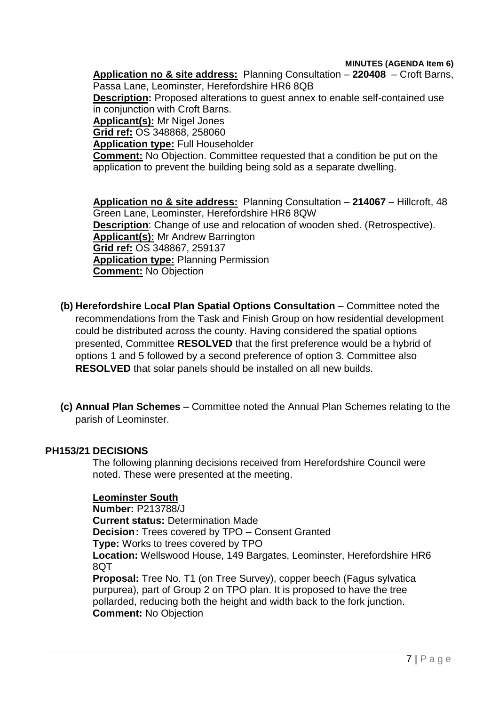**MINUTES (AGENDA Item 6)**

**Application no & site address:** Planning Consultation – **220408** – Croft Barns, Passa Lane, Leominster, Herefordshire HR6 8QB **Description:** Proposed alterations to guest annex to enable self-contained use in conjunction with Croft Barns. **Applicant(s):** Mr Nigel Jones **Grid ref:** OS 348868, 258060 **Application type:** Full Householder **Comment:** No Objection. Committee requested that a condition be put on the application to prevent the building being sold as a separate dwelling.

**Application no & site address:** Planning Consultation – **214067** – Hillcroft, 48 Green Lane, Leominster, Herefordshire HR6 8QW **Description**: Change of use and relocation of wooden shed. (Retrospective). **Applicant(s):** Mr Andrew Barrington **Grid ref:** OS 348867, 259137 **Application type:** Planning Permission **Comment:** No Objection

- **(b)** Herefordshire Local Plan Spatial Options Consultation Committee noted the recommendations from the Task and Finish Group on how residential development could be distributed across the county. Having considered the spatial options presented, Committee **RESOLVED** that the first preference would be a hybrid of options 1 and 5 followed by a second preference of option 3. Committee also **RESOLVED** that solar panels should be installed on all new builds.
- **(c) Annual Plan Schemes**  Committee noted the Annual Plan Schemes relating to the parish of Leominster.

## **PH153/21 DECISIONS**

The following planning decisions received from Herefordshire Council were noted. These were presented at the meeting.

## **Leominster South**

**Number:** P213788/J **Current status:** Determination Made **Decision:** Trees covered by TPO – Consent Granted **Type:** Works to trees covered by TPO **Location:** Wellswood House, 149 Bargates, Leominster, Herefordshire HR6 8QT **Proposal:** Tree No. T1 (on Tree Survey), copper beech (Fagus sylvatica purpurea), part of Group 2 on TPO plan. It is proposed to have the tree pollarded, reducing both the height and width back to the fork junction. **Comment:** No Objection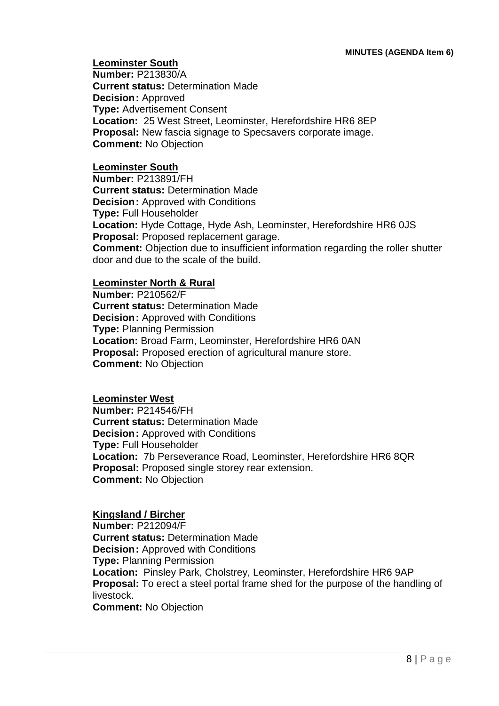**Leominster South Number:** P213830/A **Current status:** Determination Made **Decision:** Approved **Type:** Advertisement Consent **Location:** 25 West Street, Leominster, Herefordshire HR6 8EP **Proposal:** New fascia signage to Specsavers corporate image. **Comment:** No Objection

#### **Leominster South**

**Number:** P213891/FH **Current status:** Determination Made **Decision:** Approved with Conditions **Type:** Full Householder **Location:** Hyde Cottage, Hyde Ash, Leominster, Herefordshire HR6 0JS **Proposal:** Proposed replacement garage. **Comment:** Objection due to insufficient information regarding the roller shutter door and due to the scale of the build.

# **Leominster North & Rural**

**Number:** P210562/F **Current status:** Determination Made **Decision:** Approved with Conditions **Type:** Planning Permission **Location:** Broad Farm, Leominster, Herefordshire HR6 0AN **Proposal:** Proposed erection of agricultural manure store. **Comment:** No Objection

#### **Leominster West**

**Number:** P214546/FH **Current status:** Determination Made **Decision:** Approved with Conditions **Type:** Full Householder **Location:** 7b Perseverance Road, Leominster, Herefordshire HR6 8QR **Proposal:** Proposed single storey rear extension. **Comment:** No Objection

#### **Kingsland / Bircher**

**Number:** P212094/F **Current status:** Determination Made **Decision:** Approved with Conditions **Type:** Planning Permission **Location:** Pinsley Park, Cholstrey, Leominster, Herefordshire HR6 9AP **Proposal:** To erect a steel portal frame shed for the purpose of the handling of livestock.

**Comment:** No Objection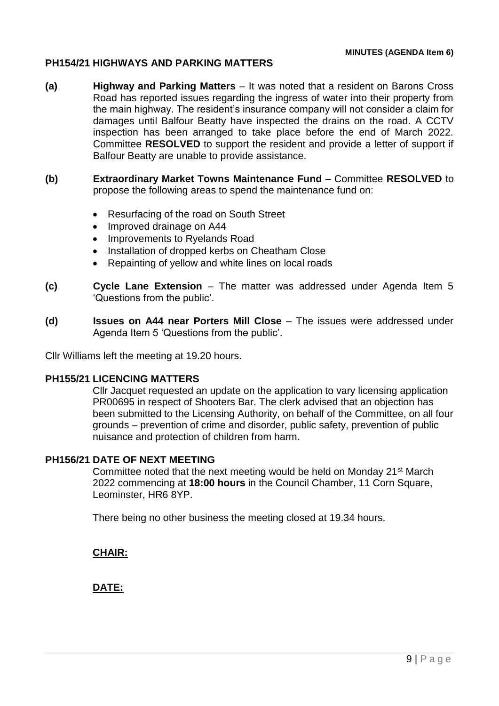# **PH154/21 HIGHWAYS AND PARKING MATTERS**

- **(a) Highway and Parking Matters**  It was noted that a resident on Barons Cross Road has reported issues regarding the ingress of water into their property from the main highway. The resident's insurance company will not consider a claim for damages until Balfour Beatty have inspected the drains on the road. A CCTV inspection has been arranged to take place before the end of March 2022. Committee **RESOLVED** to support the resident and provide a letter of support if Balfour Beatty are unable to provide assistance.
- **(b) Extraordinary Market Towns Maintenance Fund** Committee **RESOLVED** to propose the following areas to spend the maintenance fund on:
	- Resurfacing of the road on South Street
	- Improved drainage on A44
	- Improvements to Ryelands Road
	- Installation of dropped kerbs on Cheatham Close
	- Repainting of yellow and white lines on local roads
- **(c) Cycle Lane Extension**  The matter was addressed under Agenda Item 5 'Questions from the public'.
- **(d) Issues on A44 near Porters Mill Close**  The issues were addressed under Agenda Item 5 'Questions from the public'.

Cllr Williams left the meeting at 19.20 hours.

#### **PH155/21 LICENCING MATTERS**

Cllr Jacquet requested an update on the application to vary licensing application PR00695 in respect of Shooters Bar. The clerk advised that an objection has been submitted to the Licensing Authority, on behalf of the Committee, on all four grounds – prevention of crime and disorder, public safety, prevention of public nuisance and protection of children from harm.

#### **PH156/21 DATE OF NEXT MEETING**

Committee noted that the next meeting would be held on Monday 21st March 2022 commencing at **18:00 hours** in the Council Chamber, 11 Corn Square, Leominster, HR6 8YP.

There being no other business the meeting closed at 19.34 hours.

**CHAIR:**

**DATE:**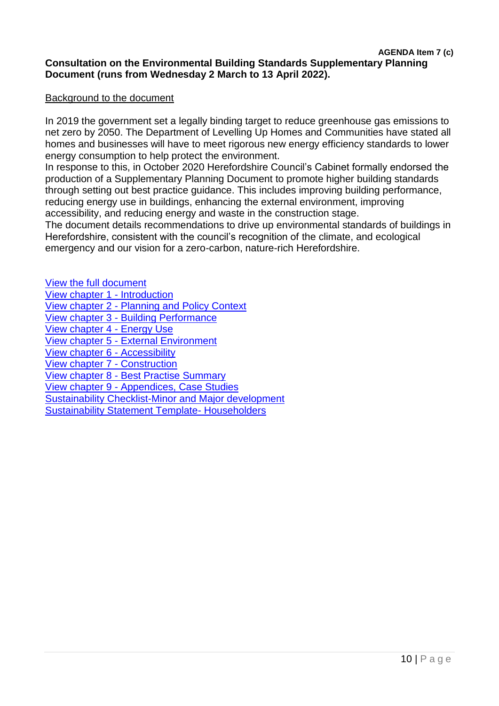# **Consultation on the Environmental Building Standards Supplementary Planning Document (runs from Wednesday 2 March to 13 April 2022).**

#### Background to the document

In 2019 the government set a legally binding target to reduce greenhouse gas emissions to net zero by 2050. The Department of Levelling Up Homes and Communities have stated all homes and businesses will have to meet rigorous new energy efficiency standards to lower energy consumption to help protect the environment.

In response to this, in October 2020 Herefordshire Council's Cabinet formally endorsed the production of a Supplementary Planning Document to promote higher building standards through setting out best practice guidance. This includes improving building performance, reducing energy use in buildings, enhancing the external environment, improving accessibility, and reducing energy and waste in the construction stage.

The document details recommendations to drive up environmental standards of buildings in Herefordshire, consistent with the council's recognition of the climate, and ecological emergency and our vision for a zero-carbon, nature-rich Herefordshire.

[View the full document](https://res.cloudinary.com/commonplace-digital-limited/image/upload/v1645796667/projects/hlp/EBS_SPD_Feb2022.pdf) [View chapter 1 -](https://res.cloudinary.com/commonplace-digital-limited/image/upload/v1645796654/projects/hlp/1_Introduction.pdf) Introduction

- View chapter 2 [Planning and Policy Context](https://res.cloudinary.com/commonplace-digital-limited/image/upload/v1645796655/projects/hlp/2_Planning_and_Policy_Context.pdf)
- View chapter 3 [Building Performance](https://res.cloudinary.com/commonplace-digital-limited/image/upload/v1645796657/projects/hlp/3_Building_Performance.pdf)

[View chapter 4 -](https://res.cloudinary.com/commonplace-digital-limited/image/upload/v1645796656/projects/hlp/4_Energy_Use.pdf) Energy Use

View chapter 5 - [External Environment](https://res.cloudinary.com/commonplace-digital-limited/image/upload/v1645796656/projects/hlp/5_External_Environment.pdf)

[View chapter 6 -](https://res.cloudinary.com/commonplace-digital-limited/image/upload/v1645796655/projects/hlp/6_Accessibility.pdf) Accessibility

[View chapter 7 -](https://res.cloudinary.com/commonplace-digital-limited/image/upload/v1645796667/projects/hlp/7_Construction.pdf) Construction

View chapter 8 - [Best Practise Summary](https://res.cloudinary.com/commonplace-digital-limited/image/upload/v1645796667/projects/hlp/8_Best_Practice_Summary.pdf)

View chapter 9 - [Appendices, Case Studies](https://res.cloudinary.com/commonplace-digital-limited/image/upload/v1645796671/projects/hlp/9_Appendix_Case_Studies_and_check_lists.pdf)

[Sustainability Checklist-Minor and Major development](https://res.cloudinary.com/commonplace-digital-limited/image/upload/v1645796671/projects/hlp/Sustainability_Checklist-Minor_and_Major_Development.pdf)

[Sustainability Statement Template-](https://res.cloudinary.com/commonplace-digital-limited/image/upload/v1645796669/projects/hlp/Sustainability_Statement_Template_Householder_Development.pdf) Householders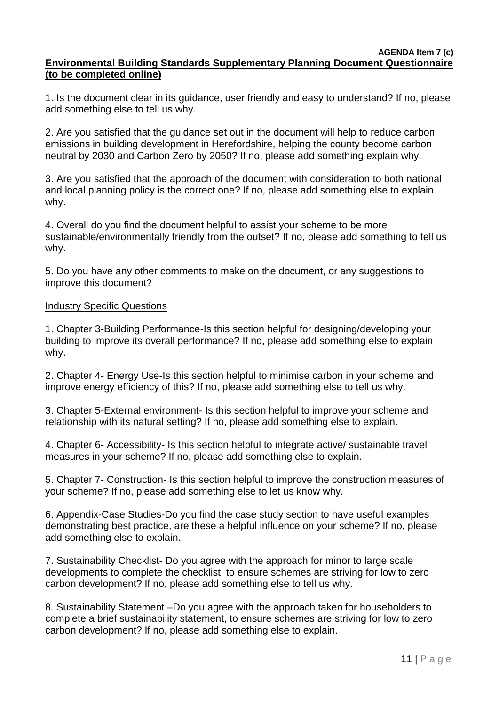#### **AGENDA Item 7 (c) Environmental Building Standards Supplementary Planning Document Questionnaire (to be completed online)**

1. Is the document clear in its guidance, user friendly and easy to understand? If no, please add something else to tell us why.

2. Are you satisfied that the guidance set out in the document will help to reduce carbon emissions in building development in Herefordshire, helping the county become carbon neutral by 2030 and Carbon Zero by 2050? If no, please add something explain why.

3. Are you satisfied that the approach of the document with consideration to both national and local planning policy is the correct one? If no, please add something else to explain why.

4. Overall do you find the document helpful to assist your scheme to be more sustainable/environmentally friendly from the outset? If no, please add something to tell us why.

5. Do you have any other comments to make on the document, or any suggestions to improve this document?

#### Industry Specific Questions

1. Chapter 3-Building Performance-Is this section helpful for designing/developing your building to improve its overall performance? If no, please add something else to explain why.

2. Chapter 4- Energy Use-Is this section helpful to minimise carbon in your scheme and improve energy efficiency of this? If no, please add something else to tell us why.

3. Chapter 5-External environment- Is this section helpful to improve your scheme and relationship with its natural setting? If no, please add something else to explain.

4. Chapter 6- Accessibility- Is this section helpful to integrate active/ sustainable travel measures in your scheme? If no, please add something else to explain.

5. Chapter 7- Construction- Is this section helpful to improve the construction measures of your scheme? If no, please add something else to let us know why.

6. Appendix-Case Studies-Do you find the case study section to have useful examples demonstrating best practice, are these a helpful influence on your scheme? If no, please add something else to explain.

7. Sustainability Checklist- Do you agree with the approach for minor to large scale developments to complete the checklist, to ensure schemes are striving for low to zero carbon development? If no, please add something else to tell us why.

8. Sustainability Statement –Do you agree with the approach taken for householders to complete a brief sustainability statement, to ensure schemes are striving for low to zero carbon development? If no, please add something else to explain.